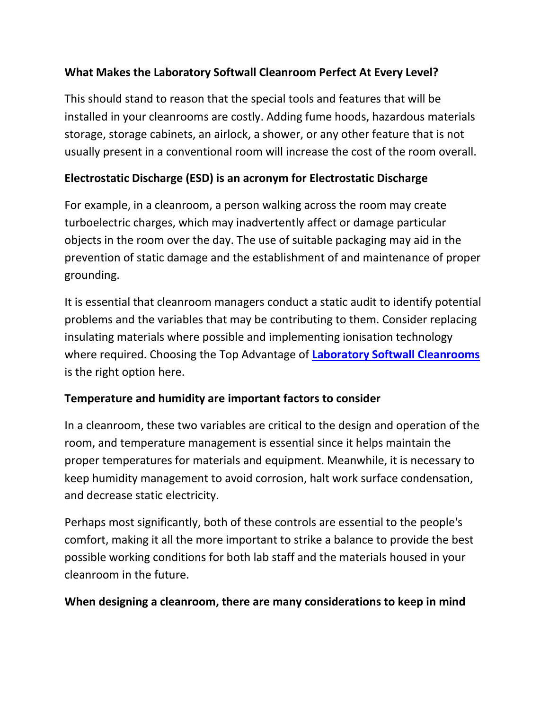## **What Makes the Laboratory Softwall Cleanroom Perfect At Every Level?**

This should stand to reason that the special tools and features that will be installed in your cleanrooms are costly. Adding fume hoods, hazardous materials storage, storage cabinets, an airlock, a shower, or any other feature that is not usually present in a conventional room will increase the cost of the room overall.

#### **Electrostatic Discharge (ESD) is an acronym for Electrostatic Discharge**

For example, in a cleanroom, a person walking across the room may create turboelectric charges, which may inadvertently affect or damage particular objects in the room over the day. The use of suitable packaging may aid in the prevention of static damage and the establishment of and maintenance of proper grounding.

It is essential that cleanroom managers conduct a static audit to identify potential problems and the variables that may be contributing to them. Consider replacing insulating materials where possible and implementing ionisation technology where required. Choosing the Top Advantage of **[Laboratory Softwall Cleanrooms](https://ezadcleanroom.com/softwall-modular-cleanrooms)** is the right option here.

### **Temperature and humidity are important factors to consider**

In a cleanroom, these two variables are critical to the design and operation of the room, and temperature management is essential since it helps maintain the proper temperatures for materials and equipment. Meanwhile, it is necessary to keep humidity management to avoid corrosion, halt work surface condensation, and decrease static electricity.

Perhaps most significantly, both of these controls are essential to the people's comfort, making it all the more important to strike a balance to provide the best possible working conditions for both lab staff and the materials housed in your cleanroom in the future.

#### **When designing a cleanroom, there are many considerations to keep in mind**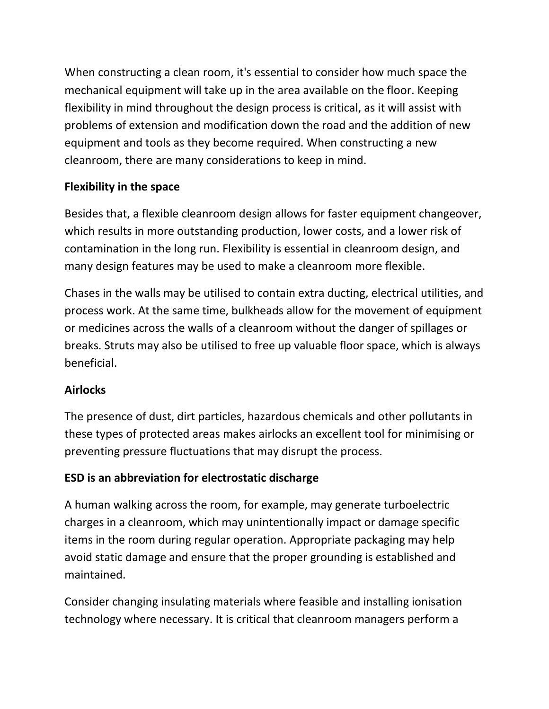When constructing a clean room, it's essential to consider how much space the mechanical equipment will take up in the area available on the floor. Keeping flexibility in mind throughout the design process is critical, as it will assist with problems of extension and modification down the road and the addition of new equipment and tools as they become required. When constructing a new cleanroom, there are many considerations to keep in mind.

# **Flexibility in the space**

Besides that, a flexible cleanroom design allows for faster equipment changeover, which results in more outstanding production, lower costs, and a lower risk of contamination in the long run. Flexibility is essential in cleanroom design, and many design features may be used to make a cleanroom more flexible.

Chases in the walls may be utilised to contain extra ducting, electrical utilities, and process work. At the same time, bulkheads allow for the movement of equipment or medicines across the walls of a cleanroom without the danger of spillages or breaks. Struts may also be utilised to free up valuable floor space, which is always beneficial.

### **Airlocks**

The presence of dust, dirt particles, hazardous chemicals and other pollutants in these types of protected areas makes airlocks an excellent tool for minimising or preventing pressure fluctuations that may disrupt the process.

# **ESD is an abbreviation for electrostatic discharge**

A human walking across the room, for example, may generate turboelectric charges in a cleanroom, which may unintentionally impact or damage specific items in the room during regular operation. Appropriate packaging may help avoid static damage and ensure that the proper grounding is established and maintained.

Consider changing insulating materials where feasible and installing ionisation technology where necessary. It is critical that cleanroom managers perform a